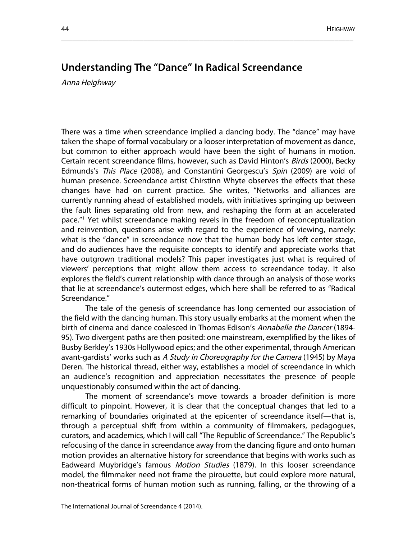## **Understanding The "Dance" In Radical Screendance**

\_\_\_\_\_\_\_\_\_\_\_\_\_\_\_\_\_\_\_\_\_\_\_\_\_\_\_\_\_\_\_\_\_\_\_\_\_\_\_\_\_\_\_\_\_\_\_\_\_\_\_\_\_\_\_\_\_\_\_\_\_\_\_\_\_\_\_\_\_\_\_\_\_\_\_\_\_\_

Anna Heighway

There was a time when screendance implied a dancing body. The "dance" may have taken the shape of formal vocabulary or a looser interpretation of movement as dance, but common to either approach would have been the sight of humans in motion. Certain recent screendance films, however, such as David Hinton's Birds (2000), Becky Edmunds's This Place (2008), and Constantini Georgescu's Spin (2009) are void of human presence. Screendance artist Chirstinn Whyte observes the effects that these changes have had on current practice. She writes, "Networks and alliances are currently running ahead of established models, with initiatives springing up between the fault lines separating old from new, and reshaping the form at an accelerated pace."1 Yet whilst screendance making revels in the freedom of reconceptualization and reinvention, questions arise with regard to the experience of viewing, namely: what is the "dance" in screendance now that the human body has left center stage, and do audiences have the requisite concepts to identify and appreciate works that have outgrown traditional models? This paper investigates just what is required of viewers' perceptions that might allow them access to screendance today. It also explores the field's current relationship with dance through an analysis of those works that lie at screendance's outermost edges, which here shall be referred to as "Radical Screendance."

The tale of the genesis of screendance has long cemented our association of the field with the dancing human. This story usually embarks at the moment when the birth of cinema and dance coalesced in Thomas Edison's Annabelle the Dancer (1894-95). Two divergent paths are then posited: one mainstream, exemplified by the likes of Busby Berkley's 1930s Hollywood epics; and the other experimental, through American avant-gardists' works such as A Study in Choreography for the Camera (1945) by Maya Deren. The historical thread, either way, establishes a model of screendance in which an audience's recognition and appreciation necessitates the presence of people unquestionably consumed within the act of dancing.

The moment of screendance's move towards a broader definition is more difficult to pinpoint. However, it is clear that the conceptual changes that led to a remarking of boundaries originated at the epicenter of screendance itself—that is, through a perceptual shift from within a community of filmmakers, pedagogues, curators, and academics, which I will call "The Republic of Screendance." The Republic's refocusing of the dance in screendance away from the dancing figure and onto human motion provides an alternative history for screendance that begins with works such as Eadweard Muybridge's famous Motion Studies (1879). In this looser screendance model, the filmmaker need not frame the pirouette, but could explore more natural, non-theatrical forms of human motion such as running, falling, or the throwing of a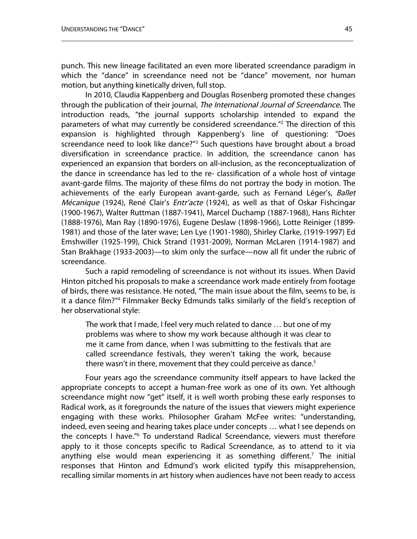punch. This new lineage facilitated an even more liberated screendance paradigm in which the "dance" in screendance need not be "dance" movement, nor human motion, but anything kinetically driven, full stop.

\_\_\_\_\_\_\_\_\_\_\_\_\_\_\_\_\_\_\_\_\_\_\_\_\_\_\_\_\_\_\_\_\_\_\_\_\_\_\_\_\_\_\_\_\_\_\_\_\_\_\_\_\_\_\_\_\_\_\_\_\_\_\_\_\_\_\_\_\_\_\_\_\_\_\_\_\_\_

In 2010, Claudia Kappenberg and Douglas Rosenberg promoted these changes through the publication of their journal, The International Journal of Screendance. The introduction reads, "the journal supports scholarship intended to expand the parameters of what may currently be considered screendance."2 The direction of this expansion is highlighted through Kappenberg's line of questioning: "Does screendance need to look like dance?"<sup>3</sup> Such questions have brought about a broad diversification in screendance practice. In addition, the screendance canon has experienced an expansion that borders on all-inclusion, as the reconceptualization of the dance in screendance has led to the re- classification of a whole host of vintage avant-garde films. The majority of these films do not portray the body in motion. The achievements of the early European avant-garde, such as Fernand Léger's, Ballet Mécanique (1924), René Clair's *Entr'acte* (1924), as well as that of Oskar Fishcingar (1900-1967), Walter Ruttman (1887-1941), Marcel Duchamp (1887-1968), Hans Richter (1888-1976), Man Ray (1890-1976), Eugene Deslaw (1898-1966), Lotte Reiniger (1899- 1981) and those of the later wave; Len Lye (1901-1980), Shirley Clarke, (1919-1997) Ed Emshwiller (1925-199), Chick Strand (1931-2009), Norman McLaren (1914-1987) and Stan Brakhage (1933-2003)—to skim only the surface—now all fit under the rubric of screendance.

Such a rapid remodeling of screendance is not without its issues. When David Hinton pitched his proposals to make a screendance work made entirely from footage of birds, there was resistance. He noted, "The main issue about the film, seems to be, is it a dance film?"4 Filmmaker Becky Edmunds talks similarly of the field's reception of her observational style:

The work that I made, I feel very much related to dance … but one of my problems was where to show my work because although it was clear to me it came from dance, when I was submitting to the festivals that are called screendance festivals, they weren't taking the work, because there wasn't in there, movement that they could perceive as dance. $5$ 

Four years ago the screendance community itself appears to have lacked the appropriate concepts to accept a human-free work as one of its own. Yet although screendance might now "get" itself, it is well worth probing these early responses to Radical work, as it foregrounds the nature of the issues that viewers might experience engaging with these works. Philosopher Graham McFee writes: "understanding, indeed, even seeing and hearing takes place under concepts … what I see depends on the concepts I have."6 To understand Radical Screendance, viewers must therefore apply to it those concepts specific to Radical Screendance, as to attend to it via anything else would mean experiencing it as something different. <sup>7</sup> The initial responses that Hinton and Edmund's work elicited typify this misapprehension, recalling similar moments in art history when audiences have not been ready to access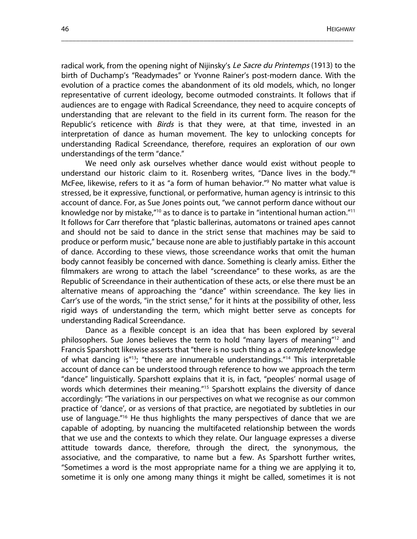radical work, from the opening night of Nijinsky's Le Sacre du Printemps (1913) to the birth of Duchamp's "Readymades" or Yvonne Rainer's post-modern dance. With the evolution of a practice comes the abandonment of its old models, which, no longer representative of current ideology, become outmoded constraints. It follows that if audiences are to engage with Radical Screendance, they need to acquire concepts of understanding that are relevant to the field in its current form. The reason for the Republic's reticence with *Birds* is that they were, at that time, invested in an interpretation of dance as human movement. The key to unlocking concepts for understanding Radical Screendance, therefore, requires an exploration of our own understandings of the term "dance."

\_\_\_\_\_\_\_\_\_\_\_\_\_\_\_\_\_\_\_\_\_\_\_\_\_\_\_\_\_\_\_\_\_\_\_\_\_\_\_\_\_\_\_\_\_\_\_\_\_\_\_\_\_\_\_\_\_\_\_\_\_\_\_\_\_\_\_\_\_\_\_\_\_\_\_\_\_\_

We need only ask ourselves whether dance would exist without people to understand our historic claim to it. Rosenberg writes, "Dance lives in the body."8 McFee, likewise, refers to it as "a form of human behavior."9 No matter what value is stressed, be it expressive, functional, or performative, human agency is intrinsic to this account of dance. For, as Sue Jones points out, "we cannot perform dance without our knowledge nor by mistake, $\frac{10}{10}$  as to dance is to partake in "intentional human action."<sup>11</sup> It follows for Carr therefore that "plastic ballerinas, automatons or trained apes cannot and should not be said to dance in the strict sense that machines may be said to produce or perform music," because none are able to justifiably partake in this account of dance. According to these views, those screendance works that omit the human body cannot feasibly be concerned with dance. Something is clearly amiss. Either the filmmakers are wrong to attach the label "screendance" to these works, as are the Republic of Screendance in their authentication of these acts, or else there must be an alternative means of approaching the "dance" within screendance. The key lies in Carr's use of the words, "in the strict sense," for it hints at the possibility of other, less rigid ways of understanding the term, which might better serve as concepts for understanding Radical Screendance.

Dance as a flexible concept is an idea that has been explored by several philosophers. Sue Jones believes the term to hold "many layers of meaning" <sup>12</sup> and Francis Sparshott likewise asserts that "there is no such thing as a *complete* knowledge of what dancing is"13; "there are innumerable understandings."14 This interpretable account of dance can be understood through reference to how we approach the term "dance" linguistically. Sparshott explains that it is, in fact, "peoples' normal usage of words which determines their meaning."<sup>15</sup> Sparshott explains the diversity of dance accordingly: "The variations in our perspectives on what we recognise as our common practice of 'dance', or as versions of that practice, are negotiated by subtleties in our use of language."<sup>16</sup> He thus highlights the many perspectives of dance that we are capable of adopting, by nuancing the multifaceted relationship between the words that we use and the contexts to which they relate. Our language expresses a diverse attitude towards dance, therefore, through the direct, the synonymous, the associative, and the comparative, to name but a few. As Sparshott further writes, "Sometimes a word is the most appropriate name for a thing we are applying it to, sometime it is only one among many things it might be called, sometimes it is not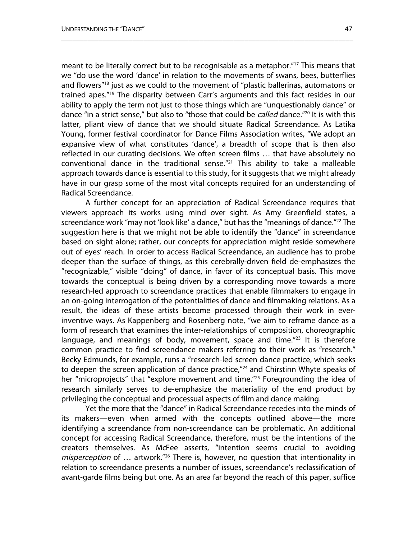meant to be literally correct but to be recognisable as a metaphor."17 This means that we "do use the word 'dance' in relation to the movements of swans, bees, butterflies and flowers"18 just as we could to the movement of "plastic ballerinas, automatons or trained apes."19 The disparity between Carr's arguments and this fact resides in our ability to apply the term not just to those things which are "unquestionably dance" or dance "in a strict sense," but also to "those that could be *called* dance."<sup>20</sup> It is with this latter, pliant view of dance that we should situate Radical Screendance. As Latika Young, former festival coordinator for Dance Films Association writes, "We adopt an expansive view of what constitutes 'dance', a breadth of scope that is then also reflected in our curating decisions. We often screen films … that have absolutely no conventional dance in the traditional sense. $"^{21}$  This ability to take a malleable approach towards dance is essential to this study, for it suggests that we might already have in our grasp some of the most vital concepts required for an understanding of Radical Screendance.

\_\_\_\_\_\_\_\_\_\_\_\_\_\_\_\_\_\_\_\_\_\_\_\_\_\_\_\_\_\_\_\_\_\_\_\_\_\_\_\_\_\_\_\_\_\_\_\_\_\_\_\_\_\_\_\_\_\_\_\_\_\_\_\_\_\_\_\_\_\_\_\_\_\_\_\_\_\_

A further concept for an appreciation of Radical Screendance requires that viewers approach its works using mind over sight. As Amy Greenfield states, a screendance work "may not 'look like' a dance," but has the "meanings of dance."<sup>22</sup> The suggestion here is that we might not be able to identify the "dance" in screendance based on sight alone; rather, our concepts for appreciation might reside somewhere out of eyes' reach. In order to access Radical Screendance, an audience has to probe deeper than the surface of things, as this cerebrally-driven field de-emphasizes the "recognizable," visible "doing" of dance, in favor of its conceptual basis. This move towards the conceptual is being driven by a corresponding move towards a more research-led approach to screendance practices that enable filmmakers to engage in an on-going interrogation of the potentialities of dance and filmmaking relations. As a result, the ideas of these artists become processed through their work in everinventive ways. As Kappenberg and Rosenberg note, "we aim to reframe dance as a form of research that examines the inter-relationships of composition, choreographic language, and meanings of body, movement, space and time. $123$  It is therefore common practice to find screendance makers referring to their work as "research." Becky Edmunds, for example, runs a "research-led screen dance practice, which seeks to deepen the screen application of dance practice,"<sup>24</sup> and Chirstinn Whyte speaks of her "microprojects" that "explore movement and time."<sup>25</sup> Foregrounding the idea of research similarly serves to de-emphasize the materiality of the end product by privileging the conceptual and processual aspects of film and dance making.

Yet the more that the "dance" in Radical Screendance recedes into the minds of its makers—even when armed with the concepts outlined above—the more identifying a screendance from non-screendance can be problematic. An additional concept for accessing Radical Screendance, therefore, must be the intentions of the creators themselves. As McFee asserts, "intention seems crucial to avoiding misperception of ... artwork.<sup>"26</sup> There is, however, no question that intentionality in relation to screendance presents a number of issues, screendance's reclassification of avant-garde films being but one. As an area far beyond the reach of this paper, suffice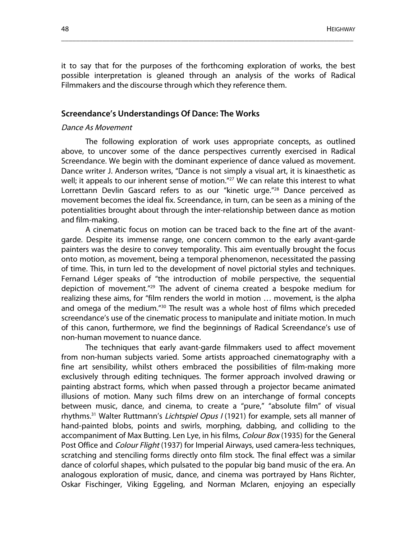it to say that for the purposes of the forthcoming exploration of works, the best possible interpretation is gleaned through an analysis of the works of Radical Filmmakers and the discourse through which they reference them.

\_\_\_\_\_\_\_\_\_\_\_\_\_\_\_\_\_\_\_\_\_\_\_\_\_\_\_\_\_\_\_\_\_\_\_\_\_\_\_\_\_\_\_\_\_\_\_\_\_\_\_\_\_\_\_\_\_\_\_\_\_\_\_\_\_\_\_\_\_\_\_\_\_\_\_\_\_\_

### **Screendance's Understandings Of Dance: The Works**

#### Dance As Movement

The following exploration of work uses appropriate concepts, as outlined above, to uncover some of the dance perspectives currently exercised in Radical Screendance. We begin with the dominant experience of dance valued as movement. Dance writer J. Anderson writes, "Dance is not simply a visual art, it is kinaesthetic as well; it appeals to our inherent sense of motion.<sup>"27</sup> We can relate this interest to what Lorrettann Devlin Gascard refers to as our "kinetic urge."<sup>28</sup> Dance perceived as movement becomes the ideal fix. Screendance, in turn, can be seen as a mining of the potentialities brought about through the inter-relationship between dance as motion and film-making.

A cinematic focus on motion can be traced back to the fine art of the avantgarde. Despite its immense range, one concern common to the early avant-garde painters was the desire to convey temporality. This aim eventually brought the focus onto motion, as movement, being a temporal phenomenon, necessitated the passing of time. This, in turn led to the development of novel pictorial styles and techniques. Fernand Léger speaks of "the introduction of mobile perspective, the sequential depiction of movement."<sup>29</sup> The advent of cinema created a bespoke medium for realizing these aims, for "film renders the world in motion … movement, is the alpha and omega of the medium."<sup>30</sup> The result was a whole host of films which preceded screendance's use of the cinematic process to manipulate and initiate motion. In much of this canon, furthermore, we find the beginnings of Radical Screendance's use of non-human movement to nuance dance.

The techniques that early avant-garde filmmakers used to affect movement from non-human subjects varied. Some artists approached cinematography with a fine art sensibility, whilst others embraced the possibilities of film-making more exclusively through editing techniques. The former approach involved drawing or painting abstract forms, which when passed through a projector became animated illusions of motion. Many such films drew on an interchange of formal concepts between music, dance, and cinema, to create a "pure," "absolute film" of visual rhythms.<sup>31</sup> Walter Ruttmann's *Lichtspiel Opus I* (1921) for example, sets all manner of hand-painted blobs, points and swirls, morphing, dabbing, and colliding to the accompaniment of Max Butting. Len Lye, in his films, Colour Box (1935) for the General Post Office and Colour Flight (1937) for Imperial Airways, used camera-less techniques, scratching and stenciling forms directly onto film stock. The final effect was a similar dance of colorful shapes, which pulsated to the popular big band music of the era. An analogous exploration of music, dance, and cinema was portrayed by Hans Richter, Oskar Fischinger, Viking Eggeling, and Norman Mclaren, enjoying an especially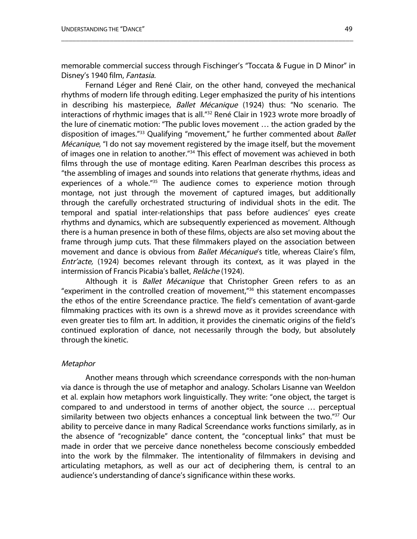memorable commercial success through Fischinger's "Toccata & Fugue in D Minor" in Disney's 1940 film, Fantasia.

\_\_\_\_\_\_\_\_\_\_\_\_\_\_\_\_\_\_\_\_\_\_\_\_\_\_\_\_\_\_\_\_\_\_\_\_\_\_\_\_\_\_\_\_\_\_\_\_\_\_\_\_\_\_\_\_\_\_\_\_\_\_\_\_\_\_\_\_\_\_\_\_\_\_\_\_\_\_

Fernand Léger and René Clair, on the other hand, conveyed the mechanical rhythms of modern life through editing. Leger emphasized the purity of his intentions in describing his masterpiece, Ballet Mécanique (1924) thus: "No scenario. The interactions of rhythmic images that is all."32 René Clair in 1923 wrote more broadly of the lure of cinematic motion: "The public loves movement … the action graded by the disposition of images."<sup>33</sup> Qualifying "movement," he further commented about Ballet Mécanique, "I do not say movement registered by the image itself, but the movement of images one in relation to another.<sup>"34</sup> This effect of movement was achieved in both films through the use of montage editing. Karen Pearlman describes this process as "the assembling of images and sounds into relations that generate rhythms, ideas and experiences of a whole.<sup>"35</sup> The audience comes to experience motion through montage, not just through the movement of captured images, but additionally through the carefully orchestrated structuring of individual shots in the edit. The temporal and spatial inter-relationships that pass before audiences' eyes create rhythms and dynamics, which are subsequently experienced as movement. Although there is a human presence in both of these films, objects are also set moving about the frame through jump cuts. That these filmmakers played on the association between movement and dance is obvious from Ballet Mécanique's title, whereas Claire's film, Entr'acte, (1924) becomes relevant through its context, as it was played in the intermission of Francis Picabia's ballet, Relâche (1924).

Although it is *Ballet Mécanique* that Christopher Green refers to as an "experiment in the controlled creation of movement,"36 this statement encompasses the ethos of the entire Screendance practice. The field's cementation of avant-garde filmmaking practices with its own is a shrewd move as it provides screendance with even greater ties to film art. In addition, it provides the cinematic origins of the field's continued exploration of dance, not necessarily through the body, but absolutely through the kinetic.

#### **Metaphor**

Another means through which screendance corresponds with the non-human via dance is through the use of metaphor and analogy. Scholars Lisanne van Weeldon et al. explain how metaphors work linguistically. They write: "one object, the target is compared to and understood in terms of another object, the source … perceptual similarity between two objects enhances a conceptual link between the two."<sup>37</sup> Our ability to perceive dance in many Radical Screendance works functions similarly, as in the absence of "recognizable" dance content, the "conceptual links" that must be made in order that we perceive dance nonetheless become consciously embedded into the work by the filmmaker. The intentionality of filmmakers in devising and articulating metaphors, as well as our act of deciphering them, is central to an audience's understanding of dance's significance within these works.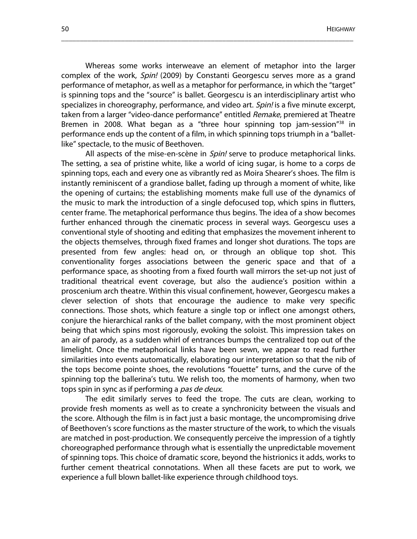Whereas some works interweave an element of metaphor into the larger complex of the work, Spin! (2009) by Constanti Georgescu serves more as a grand performance of metaphor, as well as a metaphor for performance, in which the "target" is spinning tops and the "source" is ballet. Georgescu is an interdisciplinary artist who specializes in choreography, performance, and video art. Spin! is a five minute excerpt, taken from a larger "video-dance performance" entitled Remake, premiered at Theatre Bremen in 2008. What began as a "three hour spinning top jam-session"<sup>38</sup> in performance ends up the content of a film, in which spinning tops triumph in a "balletlike" spectacle, to the music of Beethoven.

\_\_\_\_\_\_\_\_\_\_\_\_\_\_\_\_\_\_\_\_\_\_\_\_\_\_\_\_\_\_\_\_\_\_\_\_\_\_\_\_\_\_\_\_\_\_\_\_\_\_\_\_\_\_\_\_\_\_\_\_\_\_\_\_\_\_\_\_\_\_\_\_\_\_\_\_\_\_

All aspects of the mise-en-scène in Spin! serve to produce metaphorical links. The setting, a sea of pristine white, like a world of icing sugar, is home to a corps de spinning tops, each and every one as vibrantly red as Moira Shearer's shoes. The film is instantly reminiscent of a grandiose ballet, fading up through a moment of white, like the opening of curtains; the establishing moments make full use of the dynamics of the music to mark the introduction of a single defocused top, which spins in flutters, center frame. The metaphorical performance thus begins. The idea of a show becomes further enhanced through the cinematic process in several ways. Georgescu uses a conventional style of shooting and editing that emphasizes the movement inherent to the objects themselves, through fixed frames and longer shot durations. The tops are presented from few angles: head on, or through an oblique top shot. This conventionality forges associations between the generic space and that of a performance space, as shooting from a fixed fourth wall mirrors the set-up not just of traditional theatrical event coverage, but also the audience's position within a proscenium arch theatre. Within this visual confinement, however, Georgescu makes a clever selection of shots that encourage the audience to make very specific connections. Those shots, which feature a single top or inflect one amongst others, conjure the hierarchical ranks of the ballet company, with the most prominent object being that which spins most rigorously, evoking the soloist. This impression takes on an air of parody, as a sudden whirl of entrances bumps the centralized top out of the limelight. Once the metaphorical links have been sewn, we appear to read further similarities into events automatically, elaborating our interpretation so that the nib of the tops become pointe shoes, the revolutions "fouette" turns, and the curve of the spinning top the ballerina's tutu. We relish too, the moments of harmony, when two tops spin in sync as if performing a pas de deux.

The edit similarly serves to feed the trope. The cuts are clean, working to provide fresh moments as well as to create a synchronicity between the visuals and the score. Although the film is in fact just a basic montage, the uncompromising drive of Beethoven's score functions as the master structure of the work, to which the visuals are matched in post-production. We consequently perceive the impression of a tightly choreographed performance through what is essentially the unpredictable movement of spinning tops. This choice of dramatic score, beyond the histrionics it adds, works to further cement theatrical connotations. When all these facets are put to work, we experience a full blown ballet-like experience through childhood toys.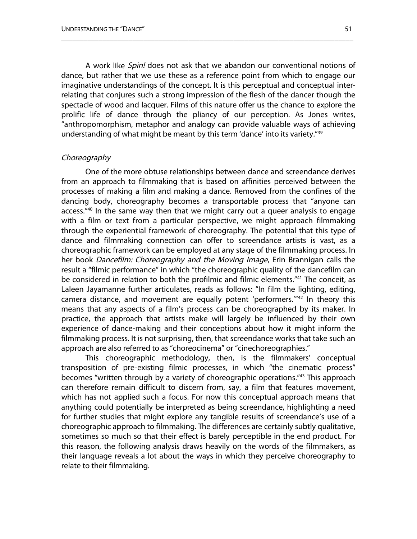A work like Spin! does not ask that we abandon our conventional notions of dance, but rather that we use these as a reference point from which to engage our imaginative understandings of the concept. It is this perceptual and conceptual interrelating that conjures such a strong impression of the flesh of the dancer though the spectacle of wood and lacquer. Films of this nature offer us the chance to explore the prolific life of dance through the pliancy of our perception. As Jones writes, "anthropomorphism, metaphor and analogy can provide valuable ways of achieving understanding of what might be meant by this term 'dance' into its variety."<sup>39</sup>

\_\_\_\_\_\_\_\_\_\_\_\_\_\_\_\_\_\_\_\_\_\_\_\_\_\_\_\_\_\_\_\_\_\_\_\_\_\_\_\_\_\_\_\_\_\_\_\_\_\_\_\_\_\_\_\_\_\_\_\_\_\_\_\_\_\_\_\_\_\_\_\_\_\_\_\_\_\_

#### **Choreography**

One of the more obtuse relationships between dance and screendance derives from an approach to filmmaking that is based on affinities perceived between the processes of making a film and making a dance. Removed from the confines of the dancing body, choreography becomes a transportable process that "anyone can access."<sup>40</sup> In the same way then that we might carry out a queer analysis to engage with a film or text from a particular perspective, we might approach filmmaking through the experiential framework of choreography. The potential that this type of dance and filmmaking connection can offer to screendance artists is vast, as a choreographic framework can be employed at any stage of the filmmaking process. In her book Dancefilm: Choreography and the Moving Image, Erin Brannigan calls the result a "filmic performance" in which "the choreographic quality of the dancefilm can be considered in relation to both the profilmic and filmic elements."<sup>41</sup> The conceit, as Laleen Jayamanne further articulates, reads as follows: "In film the lighting, editing, camera distance, and movement are equally potent 'performers.'"42 In theory this means that any aspects of a film's process can be choreographed by its maker. In practice, the approach that artists make will largely be influenced by their own experience of dance-making and their conceptions about how it might inform the filmmaking process. It is not surprising, then, that screendance works that take such an approach are also referred to as "choreocinema" or "cinechoreographies."

This choreographic methodology, then, is the filmmakers' conceptual transposition of pre-existing filmic processes, in which "the cinematic process" becomes "written through by a variety of choreographic operations."43 This approach can therefore remain difficult to discern from, say, a film that features movement, which has not applied such a focus. For now this conceptual approach means that anything could potentially be interpreted as being screendance, highlighting a need for further studies that might explore any tangible results of screendance's use of a choreographic approach to filmmaking. The differences are certainly subtly qualitative, sometimes so much so that their effect is barely perceptible in the end product. For this reason, the following analysis draws heavily on the words of the filmmakers, as their language reveals a lot about the ways in which they perceive choreography to relate to their filmmaking.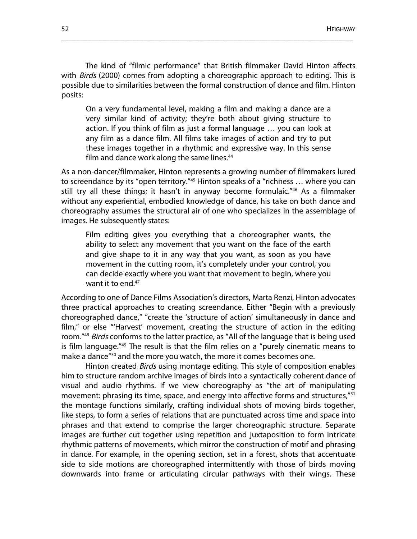The kind of "filmic performance" that British filmmaker David Hinton affects with *Birds* (2000) comes from adopting a choreographic approach to editing. This is possible due to similarities between the formal construction of dance and film. Hinton posits:

\_\_\_\_\_\_\_\_\_\_\_\_\_\_\_\_\_\_\_\_\_\_\_\_\_\_\_\_\_\_\_\_\_\_\_\_\_\_\_\_\_\_\_\_\_\_\_\_\_\_\_\_\_\_\_\_\_\_\_\_\_\_\_\_\_\_\_\_\_\_\_\_\_\_\_\_\_\_

On a very fundamental level, making a film and making a dance are a very similar kind of activity; they're both about giving structure to action. If you think of film as just a formal language … you can look at any film as a dance film. All films take images of action and try to put these images together in a rhythmic and expressive way. In this sense film and dance work along the same lines.<sup>44</sup>

As a non-dancer/filmmaker, Hinton represents a growing number of filmmakers lured to screendance by its "open territory."45 Hinton speaks of a "richness … where you can still try all these things; it hasn't in anyway become formulaic."46 As a filmmaker without any experiential, embodied knowledge of dance, his take on both dance and choreography assumes the structural air of one who specializes in the assemblage of images. He subsequently states:

Film editing gives you everything that a choreographer wants, the ability to select any movement that you want on the face of the earth and give shape to it in any way that you want, as soon as you have movement in the cutting room, it's completely under your control, you can decide exactly where you want that movement to begin, where you want it to end.<sup>47</sup>

According to one of Dance Films Association's directors, Marta Renzi, Hinton advocates three practical approaches to creating screendance. Either "Begin with a previously choreographed dance," "create the 'structure of action' simultaneously in dance and film," or else "'Harvest' movement, creating the structure of action in the editing room."<sup>48</sup> Birds conforms to the latter practice, as "All of the language that is being used is film language."49 The result is that the film relies on a "purely cinematic means to make a dance<sup>"50</sup> and the more you watch, the more it comes becomes one.

Hinton created *Birds* using montage editing. This style of composition enables him to structure random archive images of birds into a syntactically coherent dance of visual and audio rhythms. If we view choreography as "the art of manipulating movement: phrasing its time, space, and energy into affective forms and structures,"<sup>51</sup> the montage functions similarly, crafting individual shots of moving birds together, like steps, to form a series of relations that are punctuated across time and space into phrases and that extend to comprise the larger choreographic structure. Separate images are further cut together using repetition and juxtaposition to form intricate rhythmic patterns of movements, which mirror the construction of motif and phrasing in dance. For example, in the opening section, set in a forest, shots that accentuate side to side motions are choreographed intermittently with those of birds moving downwards into frame or articulating circular pathways with their wings. These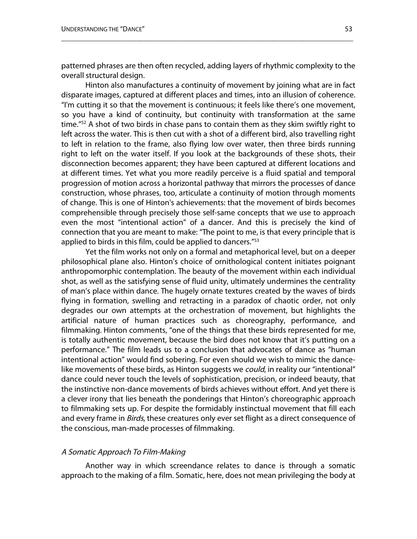patterned phrases are then often recycled, adding layers of rhythmic complexity to the overall structural design.

\_\_\_\_\_\_\_\_\_\_\_\_\_\_\_\_\_\_\_\_\_\_\_\_\_\_\_\_\_\_\_\_\_\_\_\_\_\_\_\_\_\_\_\_\_\_\_\_\_\_\_\_\_\_\_\_\_\_\_\_\_\_\_\_\_\_\_\_\_\_\_\_\_\_\_\_\_\_

Hinton also manufactures a continuity of movement by joining what are in fact disparate images, captured at different places and times, into an illusion of coherence. "I'm cutting it so that the movement is continuous; it feels like there's one movement, so you have a kind of continuity, but continuity with transformation at the same time."<sup>52</sup> A shot of two birds in chase pans to contain them as they skim swiftly right to left across the water. This is then cut with a shot of a different bird, also travelling right to left in relation to the frame, also flying low over water, then three birds running right to left on the water itself. If you look at the backgrounds of these shots, their disconnection becomes apparent; they have been captured at different locations and at different times. Yet what you more readily perceive is a fluid spatial and temporal progression of motion across a horizontal pathway that mirrors the processes of dance construction, whose phrases, too, articulate a continuity of motion through moments of change. This is one of Hinton's achievements: that the movement of birds becomes comprehensible through precisely those self-same concepts that we use to approach even the most "intentional action" of a dancer. And this is precisely the kind of connection that you are meant to make: "The point to me, is that every principle that is applied to birds in this film, could be applied to dancers."<sup>53</sup>

Yet the film works not only on a formal and metaphorical level, but on a deeper philosophical plane also. Hinton's choice of ornithological content initiates poignant anthropomorphic contemplation. The beauty of the movement within each individual shot, as well as the satisfying sense of fluid unity, ultimately undermines the centrality of man's place within dance. The hugely ornate textures created by the waves of birds flying in formation, swelling and retracting in a paradox of chaotic order, not only degrades our own attempts at the orchestration of movement, but highlights the artificial nature of human practices such as choreography, performance, and filmmaking. Hinton comments, "one of the things that these birds represented for me, is totally authentic movement, because the bird does not know that it's putting on a performance." The film leads us to a conclusion that advocates of dance as "human intentional action" would find sobering. For even should we wish to mimic the dancelike movements of these birds, as Hinton suggests we *could*, in reality our "intentional" dance could never touch the levels of sophistication, precision, or indeed beauty, that the instinctive non-dance movements of birds achieves without effort. And yet there is a clever irony that lies beneath the ponderings that Hinton's choreographic approach to filmmaking sets up. For despite the formidably instinctual movement that fill each and every frame in *Birds*, these creatures only ever set flight as a direct consequence of the conscious, man-made processes of filmmaking.

#### A Somatic Approach To Film-Making

Another way in which screendance relates to dance is through a somatic approach to the making of a film. Somatic, here, does not mean privileging the body at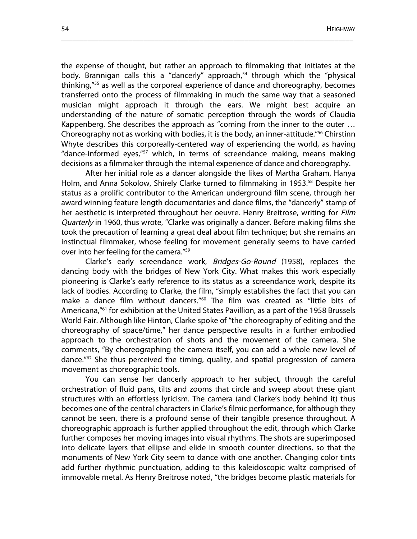the expense of thought, but rather an approach to filmmaking that initiates at the body. Brannigan calls this a "dancerly" approach, <sup>54</sup> through which the "physical thinking,"55 as well as the corporeal experience of dance and choreography, becomes transferred onto the process of filmmaking in much the same way that a seasoned musician might approach it through the ears. We might best acquire an understanding of the nature of somatic perception through the words of Claudia Kappenberg. She describes the approach as "coming from the inner to the outer … Choreography not as working with bodies, it is the body, an inner-attitude."56 Chirstinn Whyte describes this corporeally-centered way of experiencing the world, as having "dance-informed eyes,"57 which, in terms of screendance making, means making decisions as a filmmaker through the internal experience of dance and choreography.

\_\_\_\_\_\_\_\_\_\_\_\_\_\_\_\_\_\_\_\_\_\_\_\_\_\_\_\_\_\_\_\_\_\_\_\_\_\_\_\_\_\_\_\_\_\_\_\_\_\_\_\_\_\_\_\_\_\_\_\_\_\_\_\_\_\_\_\_\_\_\_\_\_\_\_\_\_\_

After her initial role as a dancer alongside the likes of Martha Graham, Hanya Holm, and Anna Sokolow, Shirely Clarke turned to filmmaking in 1953. <sup>58</sup> Despite her status as a prolific contributor to the American underground film scene, through her award winning feature length documentaries and dance films, the "dancerly" stamp of her aesthetic is interpreted throughout her oeuvre. Henry Breitrose, writing for *Film* Quarterly in 1960, thus wrote, "Clarke was originally a dancer. Before making films she took the precaution of learning a great deal about film technique; but she remains an instinctual filmmaker, whose feeling for movement generally seems to have carried over into her feeling for the camera."59

Clarke's early screendance work, Bridges-Go-Round (1958), replaces the dancing body with the bridges of New York City. What makes this work especially pioneering is Clarke's early reference to its status as a screendance work, despite its lack of bodies. According to Clarke, the film, "simply establishes the fact that you can make a dance film without dancers."60 The film was created as "little bits of Americana,<sup>"61</sup> for exhibition at the United States Pavillion, as a part of the 1958 Brussels World Fair. Although like Hinton, Clarke spoke of "the choreography of editing and the choreography of space/time," her dance perspective results in a further embodied approach to the orchestration of shots and the movement of the camera. She comments, "By choreographing the camera itself, you can add a whole new level of dance."62 She thus perceived the timing, quality, and spatial progression of camera movement as choreographic tools.

You can sense her dancerly approach to her subject, through the careful orchestration of fluid pans, tilts and zooms that circle and sweep about these giant structures with an effortless lyricism. The camera (and Clarke's body behind it) thus becomes one of the central characters in Clarke's filmic performance, for although they cannot be seen, there is a profound sense of their tangible presence throughout. A choreographic approach is further applied throughout the edit, through which Clarke further composes her moving images into visual rhythms. The shots are superimposed into delicate layers that ellipse and elide in smooth counter directions, so that the monuments of New York City seem to dance with one another. Changing color tints add further rhythmic punctuation, adding to this kaleidoscopic waltz comprised of immovable metal. As Henry Breitrose noted, "the bridges become plastic materials for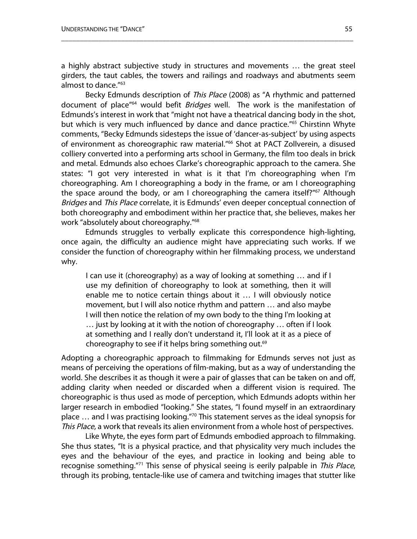a highly abstract subjective study in structures and movements … the great steel girders, the taut cables, the towers and railings and roadways and abutments seem almost to dance."63

\_\_\_\_\_\_\_\_\_\_\_\_\_\_\_\_\_\_\_\_\_\_\_\_\_\_\_\_\_\_\_\_\_\_\_\_\_\_\_\_\_\_\_\_\_\_\_\_\_\_\_\_\_\_\_\_\_\_\_\_\_\_\_\_\_\_\_\_\_\_\_\_\_\_\_\_\_\_

Becky Edmunds description of This Place (2008) as "A rhythmic and patterned document of place"<sup>64</sup> would befit Bridges well. The work is the manifestation of Edmunds's interest in work that "might not have a theatrical dancing body in the shot, but which is very much influenced by dance and dance practice."<sup>65</sup> Chirstinn Whyte comments, "Becky Edmunds sidesteps the issue of 'dancer-as-subject' by using aspects of environment as choreographic raw material."<sup>66</sup> Shot at PACT Zollverein, a disused colliery converted into a performing arts school in Germany, the film too deals in brick and metal. Edmunds also echoes Clarke's choreographic approach to the camera. She states: "I got very interested in what is it that I'm choreographing when I'm choreographing. Am I choreographing a body in the frame, or am I choreographing the space around the body, or am I choreographing the camera itself?"<sup>67</sup> Although Bridges and This Place correlate, it is Edmunds' even deeper conceptual connection of both choreography and embodiment within her practice that, she believes, makes her work "absolutely about choreography."68

Edmunds struggles to verbally explicate this correspondence high-lighting, once again, the difficulty an audience might have appreciating such works. If we consider the function of choreography within her filmmaking process, we understand why.

I can use it (choreography) as a way of looking at something … and if I use my definition of choreography to look at something, then it will enable me to notice certain things about it … I will obviously notice movement, but I will also notice rhythm and pattern … and also maybe I will then notice the relation of my own body to the thing I'm looking at … just by looking at it with the notion of choreography … often if I look at something and I really don't understand it, I'll look at it as a piece of choreography to see if it helps bring something out. 69

Adopting a choreographic approach to filmmaking for Edmunds serves not just as means of perceiving the operations of film-making, but as a way of understanding the world. She describes it as though it were a pair of glasses that can be taken on and off, adding clarity when needed or discarded when a different vision is required. The choreographic is thus used as mode of perception, which Edmunds adopts within her larger research in embodied "looking." She states, "I found myself in an extraordinary place … and I was practising looking."70 This statement serves as the ideal synopsis for This Place, a work that reveals its alien environment from a whole host of perspectives.

Like Whyte, the eyes form part of Edmunds embodied approach to filmmaking. She thus states, "It is a physical practice, and that physicality very much includes the eyes and the behaviour of the eyes, and practice in looking and being able to recognise something."<sup>71</sup> This sense of physical seeing is eerily palpable in This Place, through its probing, tentacle-like use of camera and twitching images that stutter like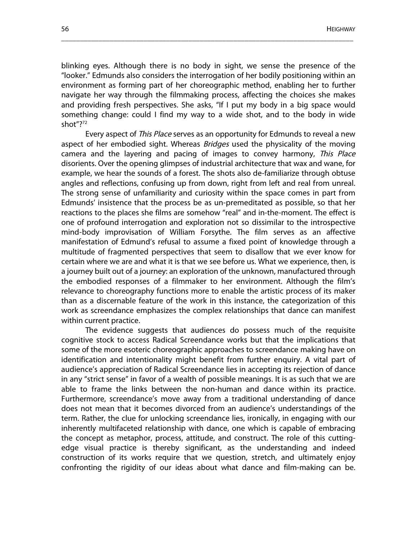blinking eyes. Although there is no body in sight, we sense the presence of the "looker." Edmunds also considers the interrogation of her bodily positioning within an environment as forming part of her choreographic method, enabling her to further navigate her way through the filmmaking process, affecting the choices she makes and providing fresh perspectives. She asks, "If I put my body in a big space would something change: could I find my way to a wide shot, and to the body in wide shot"?<sup>72</sup>

\_\_\_\_\_\_\_\_\_\_\_\_\_\_\_\_\_\_\_\_\_\_\_\_\_\_\_\_\_\_\_\_\_\_\_\_\_\_\_\_\_\_\_\_\_\_\_\_\_\_\_\_\_\_\_\_\_\_\_\_\_\_\_\_\_\_\_\_\_\_\_\_\_\_\_\_\_\_

Every aspect of This Place serves as an opportunity for Edmunds to reveal a new aspect of her embodied sight. Whereas Bridges used the physicality of the moving camera and the layering and pacing of images to convey harmony, This Place disorients. Over the opening glimpses of industrial architecture that wax and wane, for example, we hear the sounds of a forest. The shots also de-familiarize through obtuse angles and reflections, confusing up from down, right from left and real from unreal. The strong sense of unfamiliarity and curiosity within the space comes in part from Edmunds' insistence that the process be as un-premeditated as possible, so that her reactions to the places she films are somehow "real" and in-the-moment. The effect is one of profound interrogation and exploration not so dissimilar to the introspective mind-body improvisation of William Forsythe. The film serves as an affective manifestation of Edmund's refusal to assume a fixed point of knowledge through a multitude of fragmented perspectives that seem to disallow that we ever know for certain where we are and what it is that we see before us. What we experience, then, is a journey built out of a journey: an exploration of the unknown, manufactured through the embodied responses of a filmmaker to her environment. Although the film's relevance to choreography functions more to enable the artistic process of its maker than as a discernable feature of the work in this instance, the categorization of this work as screendance emphasizes the complex relationships that dance can manifest within current practice.

The evidence suggests that audiences do possess much of the requisite cognitive stock to access Radical Screendance works but that the implications that some of the more esoteric choreographic approaches to screendance making have on identification and intentionality might benefit from further enquiry. A vital part of audience's appreciation of Radical Screendance lies in accepting its rejection of dance in any "strict sense" in favor of a wealth of possible meanings. It is as such that we are able to frame the links between the non-human and dance within its practice. Furthermore, screendance's move away from a traditional understanding of dance does not mean that it becomes divorced from an audience's understandings of the term. Rather, the clue for unlocking screendance lies, ironically, in engaging with our inherently multifaceted relationship with dance, one which is capable of embracing the concept as metaphor, process, attitude, and construct. The role of this cuttingedge visual practice is thereby significant, as the understanding and indeed construction of its works require that we question, stretch, and ultimately enjoy confronting the rigidity of our ideas about what dance and film-making can be.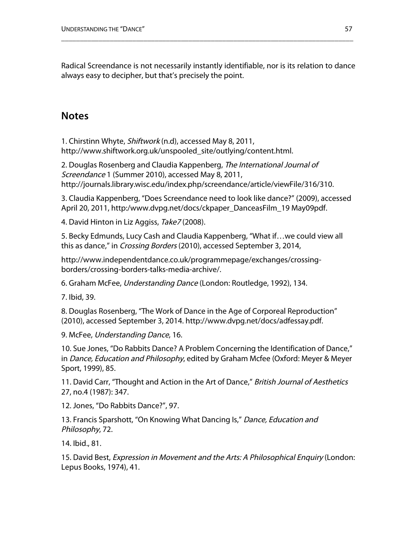Radical Screendance is not necessarily instantly identifiable, nor is its relation to dance always easy to decipher, but that's precisely the point.

\_\_\_\_\_\_\_\_\_\_\_\_\_\_\_\_\_\_\_\_\_\_\_\_\_\_\_\_\_\_\_\_\_\_\_\_\_\_\_\_\_\_\_\_\_\_\_\_\_\_\_\_\_\_\_\_\_\_\_\_\_\_\_\_\_\_\_\_\_\_\_\_\_\_\_\_\_\_

# **Notes**

1. Chirstinn Whyte, Shiftwork (n.d), accessed May 8, 2011, http://www.shiftwork.org.uk/unspooled\_site/outlying/content.html.

2. Douglas Rosenberg and Claudia Kappenberg, The International Journal of Screendance 1 (Summer 2010), accessed May 8, 2011, http://journals.library.wisc.edu/index.php/screendance/article/viewFile/316/310.

3. Claudia Kappenberg, "Does Screendance need to look like dance?" (2009), accessed April 20, 2011, http:/www.dvpg.net/docs/ckpaper\_DanceasFilm\_19 May09pdf.

4. David Hinton in Liz Aggiss, Take7 (2008).

5. Becky Edmunds, Lucy Cash and Claudia Kappenberg, "What if…we could view all this as dance," in *Crossing Borders* (2010), accessed September 3, 2014,

http://www.independentdance.co.uk/programmepage/exchanges/crossingborders/crossing-borders-talks-media-archive/.

6. Graham McFee, Understanding Dance (London: Routledge, 1992), 134.

7. Ibid, 39.

8. Douglas Rosenberg, "The Work of Dance in the Age of Corporeal Reproduction" (2010), accessed September 3, 2014. http://www.dvpg.net/docs/adfessay.pdf.

9. McFee, Understanding Dance, 16.

10. Sue Jones, "Do Rabbits Dance? A Problem Concerning the Identification of Dance," in *Dance, Education and Philosophy*, edited by Graham Mcfee (Oxford: Meyer & Meyer Sport, 1999), 85.

11. David Carr, "Thought and Action in the Art of Dance," British Journal of Aesthetics 27, no.4 (1987): 347.

12. Jones, "Do Rabbits Dance?", 97.

13. Francis Sparshott, "On Knowing What Dancing Is," Dance, Education and Philosophy, 72.

14. Ibid., 81.

15. David Best, Expression in Movement and the Arts: A Philosophical Enquiry (London: Lepus Books, 1974), 41.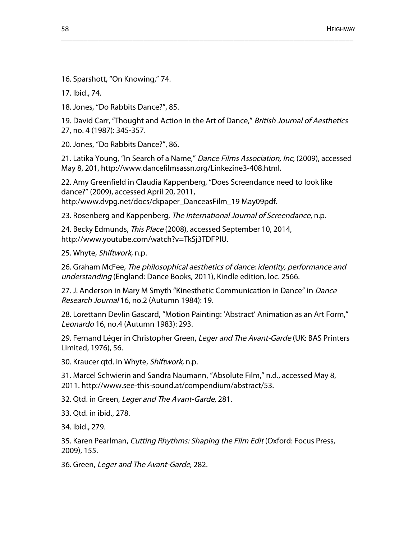16. Sparshott, "On Knowing," 74.

17. Ibid., 74.

18. Jones, "Do Rabbits Dance?", 85.

19. David Carr, "Thought and Action in the Art of Dance," British Journal of Aesthetics 27, no. 4 (1987): 345-357.

\_\_\_\_\_\_\_\_\_\_\_\_\_\_\_\_\_\_\_\_\_\_\_\_\_\_\_\_\_\_\_\_\_\_\_\_\_\_\_\_\_\_\_\_\_\_\_\_\_\_\_\_\_\_\_\_\_\_\_\_\_\_\_\_\_\_\_\_\_\_\_\_\_\_\_\_\_\_

20. Jones, "Do Rabbits Dance?", 86.

21. Latika Young, "In Search of a Name," Dance Films Association, Inc, (2009), accessed May 8, 201, http://www.dancefilmsassn.org/Linkezine3-408.html.

22. Amy Greenfield in Claudia Kappenberg, "Does Screendance need to look like dance?" (2009), accessed April 20, 2011, http:/www.dvpg.net/docs/ckpaper\_DanceasFilm\_19 May09pdf.

23. Rosenberg and Kappenberg, The International Journal of Screendance, n.p.

24. Becky Edmunds, This Place (2008), accessed September 10, 2014, http://www.youtube.com/watch?v=TkSj3TDFPlU.

25. Whyte, Shiftwork, n.p.

26. Graham McFee, The philosophical aesthetics of dance: identity, performance and understanding (England: Dance Books, 2011), Kindle edition, loc. 2566.

27. J. Anderson in Mary M Smyth "Kinesthetic Communication in Dance" in Dance Research Journal 16, no.2 (Autumn 1984): 19.

28. Lorettann Devlin Gascard, "Motion Painting: 'Abstract' Animation as an Art Form," Leonardo 16, no.4 (Autumn 1983): 293.

29. Fernand Léger in Christopher Green, Leger and The Avant-Garde (UK: BAS Printers Limited, 1976), 56.

30. Kraucer qtd. in Whyte, Shiftwork, n.p.

31. Marcel Schwierin and Sandra Naumann, "Absolute Film," n.d., accessed May 8, 2011. http://www.see-this-sound.at/compendium/abstract/53.

32. Qtd. in Green, Leger and The Avant-Garde, 281.

33. Qtd. in ibid., 278.

34. Ibid., 279.

35. Karen Pearlman, Cutting Rhythms: Shaping the Film Edit (Oxford: Focus Press, 2009), 155.

36. Green, Leger and The Avant-Garde, 282.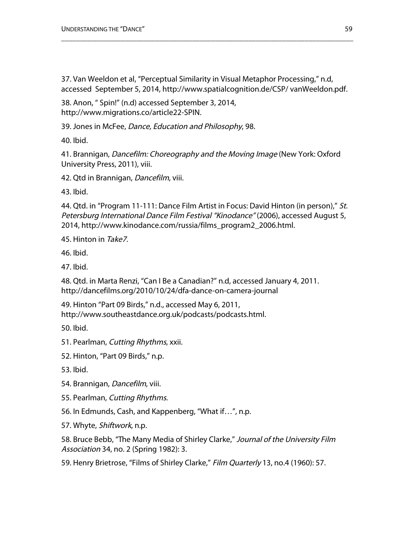37. Van Weeldon et al, "Perceptual Similarity in Visual Metaphor Processing," n.d, accessed September 5, 2014, http://www.spatialcognition.de/CSP/ vanWeeldon.pdf.

\_\_\_\_\_\_\_\_\_\_\_\_\_\_\_\_\_\_\_\_\_\_\_\_\_\_\_\_\_\_\_\_\_\_\_\_\_\_\_\_\_\_\_\_\_\_\_\_\_\_\_\_\_\_\_\_\_\_\_\_\_\_\_\_\_\_\_\_\_\_\_\_\_\_\_\_\_\_

38. Anon, " Spin!" (n.d) accessed September 3, 2014, http://www.migrations.co/article22-SPIN.

39. Jones in McFee, Dance, Education and Philosophy, 98.

40. Ibid.

41. Brannigan, *Dancefilm: Choreography and the Moving Image* (New York: Oxford University Press, 2011), viii.

42. Qtd in Brannigan, Dancefilm, viii.

43. Ibid.

44. Qtd. in "Program 11-111: Dance Film Artist in Focus: David Hinton (in person)," St. Petersburg International Dance Film Festival "Kinodance" (2006), accessed August 5, 2014, http://www.kinodance.com/russia/films\_program2\_2006.html.

45. Hinton in Take7.

46. Ibid.

47. Ibid.

48. Qtd. in Marta Renzi, "Can I Be a Canadian?" n.d, accessed January 4, 2011. http://dancefilms.org/2010/10/24/dfa-dance-on-camera-journal

49. Hinton "Part 09 Birds," n.d., accessed May 6, 2011, http://www.southeastdance.org.uk/podcasts/podcasts.html.

50. Ibid.

51. Pearlman, Cutting Rhythms, xxii.

52. Hinton, "Part 09 Birds," n.p.

53. Ibid.

- 54. Brannigan, Dancefilm, viii.
- 55. Pearlman, Cutting Rhythms.
- 56. In Edmunds, Cash, and Kappenberg, "What if…", n.p.

57. Whyte, *Shiftwork*, n.p.

58. Bruce Bebb, "The Many Media of Shirley Clarke," Journal of the University Film Association 34, no. 2 (Spring 1982): 3.

59. Henry Brietrose, "Films of Shirley Clarke," Film Quarterly 13, no.4 (1960): 57.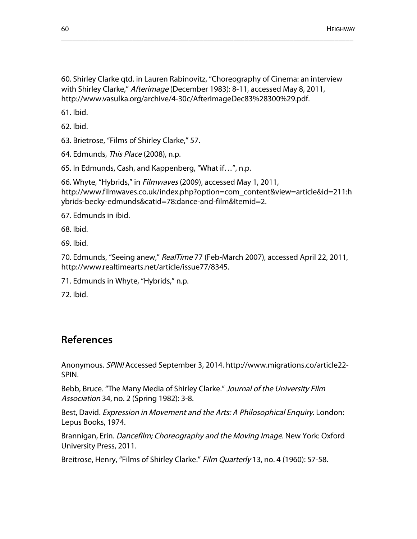60. Shirley Clarke qtd. in Lauren Rabinovitz, "Choreography of Cinema: an interview with Shirley Clarke," Afterimage (December 1983): 8-11, accessed May 8, 2011, http://www.vasulka.org/archive/4-30c/AfterImageDec83%28300%29.pdf.

\_\_\_\_\_\_\_\_\_\_\_\_\_\_\_\_\_\_\_\_\_\_\_\_\_\_\_\_\_\_\_\_\_\_\_\_\_\_\_\_\_\_\_\_\_\_\_\_\_\_\_\_\_\_\_\_\_\_\_\_\_\_\_\_\_\_\_\_\_\_\_\_\_\_\_\_\_\_

61. Ibid.

62. Ibid.

63. Brietrose, "Films of Shirley Clarke," 57.

64. Edmunds, This Place (2008), n.p.

65. In Edmunds, Cash, and Kappenberg, "What if…", n.p.

66. Whyte, "Hybrids," in Filmwaves (2009), accessed May 1, 2011, http://www.filmwaves.co.uk/index.php?option=com\_content&view=article&id=211:h ybrids-becky-edmunds&catid=78:dance-and-film&Itemid=2.

67. Edmunds in ibid.

68. Ibid.

69. Ibid.

70. Edmunds, "Seeing anew," RealTime 77 (Feb-March 2007), accessed April 22, 2011, http://www.realtimearts.net/article/issue77/8345.

71. Edmunds in Whyte, "Hybrids," n.p.

72. Ibid.

## **References**

Anonymous. SPIN! Accessed September 3, 2014. http://www.migrations.co/article22- SPIN.

Bebb, Bruce. "The Many Media of Shirley Clarke." Journal of the University Film Association 34, no. 2 (Spring 1982): 3-8.

Best, David. Expression in Movement and the Arts: A Philosophical Enquiry. London: Lepus Books, 1974.

Brannigan, Erin. Dancefilm; Choreography and the Moving Image. New York: Oxford University Press, 2011.

Breitrose, Henry, "Films of Shirley Clarke." Film Quarterly 13, no. 4 (1960): 57-58.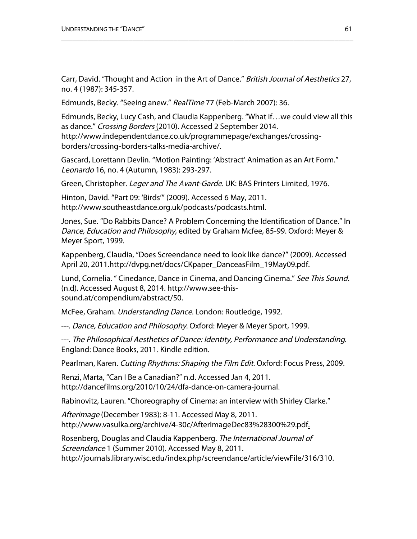Carr, David. "Thought and Action in the Art of Dance." British Journal of Aesthetics 27, no. 4 (1987): 345-357.

\_\_\_\_\_\_\_\_\_\_\_\_\_\_\_\_\_\_\_\_\_\_\_\_\_\_\_\_\_\_\_\_\_\_\_\_\_\_\_\_\_\_\_\_\_\_\_\_\_\_\_\_\_\_\_\_\_\_\_\_\_\_\_\_\_\_\_\_\_\_\_\_\_\_\_\_\_\_

Edmunds, Becky. "Seeing anew." RealTime 77 (Feb-March 2007): 36.

Edmunds, Becky, Lucy Cash, and Claudia Kappenberg. "What if…we could view all this as dance." Crossing Borders (2010). Accessed 2 September 2014. http://www.independentdance.co.uk/programmepage/exchanges/crossingborders/crossing-borders-talks-media-archive/.

Gascard, Lorettann Devlin. "Motion Painting: 'Abstract' Animation as an Art Form." Leonardo 16, no. 4 (Autumn, 1983): 293-297.

Green, Christopher. Leger and The Avant-Garde. UK: BAS Printers Limited, 1976.

Hinton, David. "Part 09: 'Birds'" (2009). Accessed 6 May, 2011. http://www.southeastdance.org.uk/podcasts/podcasts.html.

Jones, Sue. "Do Rabbits Dance? A Problem Concerning the Identification of Dance." In Dance, Education and Philosophy, edited by Graham Mcfee, 85-99. Oxford: Meyer & Meyer Sport, 1999.

Kappenberg, Claudia, "Does Screendance need to look like dance?" (2009). Accessed April 20, 2011.http://dvpg.net/docs/CKpaper\_DanceasFilm\_19May09.pdf.

Lund, Cornelia. " Cinedance, Dance in Cinema, and Dancing Cinema." See This Sound. (n.d). Accessed August 8, 2014. http://www.see-thissound.at/compendium/abstract/50.

McFee, Graham. Understanding Dance. London: Routledge, 1992.

---. Dance, Education and Philosophy. Oxford: Meyer & Meyer Sport, 1999.

---. The Philosophical Aesthetics of Dance: Identity, Performance and Understanding. England: Dance Books, 2011. Kindle edition.

Pearlman, Karen. Cutting Rhythms: Shaping the Film Edit. Oxford: Focus Press, 2009.

Renzi, Marta, "Can I Be a Canadian?" n.d. Accessed Jan 4, 2011. http://dancefilms.org/2010/10/24/dfa-dance-on-camera-journal.

Rabinovitz, Lauren. "Choreography of Cinema: an interview with Shirley Clarke."

Afterimage (December 1983): 8-11. Accessed May 8, 2011. http://www.vasulka.org/archive/4-30c/AfterImageDec83%28300%29.pdf.

Rosenberg, Douglas and Claudia Kappenberg. The International Journal of Screendance 1 (Summer 2010). Accessed May 8, 2011.

http://journals.library.wisc.edu/index.php/screendance/article/viewFile/316/310.